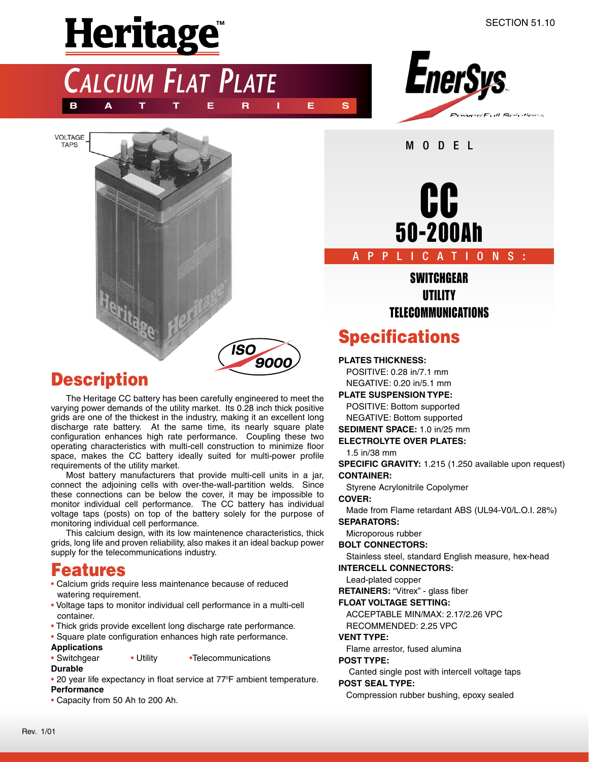# Heritage<sup>"</sup>

*CALCIUM FLAT PLATE*

**BATTERIES**



**VOLTAGE TAPS** 





## **Description**

The Heritage CC battery has been carefully engineered to meet the varying power demands of the utility market. Its 0.28 inch thick positive grids are one of the thickest in the industry, making it an excellent long discharge rate battery. At the same time, its nearly square plate configuration enhances high rate performance. Coupling these two operating characteristics with multi-cell construction to minimize floor space, makes the CC battery ideally suited for multi-power profile requirements of the utility market.

Most battery manufacturers that provide multi-cell units in a jar, connect the adjoining cells with over-the-wall-partition welds. Since these connections can be below the cover, it may be impossible to monitor individual cell performance. The CC battery has individual voltage taps (posts) on top of the battery solely for the purpose of monitoring individual cell performance.

This calcium design, with its low maintenence characteristics, thick grids, long life and proven reliability, also makes it an ideal backup power supply for the telecommunications industry.

## **Features**

- Calcium grids require less maintenance because of reduced watering requirement.
- Voltage taps to monitor individual cell performance in a multi-cell container.
- Thick grids provide excellent long discharge rate performance.
- Square plate configuration enhances high rate performance.
- **Applications**
- Switchgear Utility Telecommunications
- **Durable**
- 20 year life expectancy in float service at 77°F ambient temperature. **Performance**
- Capacity from 50 Ah to 200 Ah.



MODEL

#### APPLICATIONS **:**

## SWITCHGEAR **UTILITY** TELECOMMUNICATIONS

# **Specifications**

#### **PLATES THICKNESS:**

POSITIVE: 0.28 in/7.1 mm NEGATIVE: 0.20 in/5.1 mm

#### **PLATE SUSPENSION TYPE:**

POSITIVE: Bottom supported

- NEGATIVE: Bottom supported
- **SEDIMENT SPACE:** 1.0 in/25 mm
- **ELECTROLYTE OVER PLATES:**
	- 1.5 in/38 mm

**SPECIFIC GRAVITY:** 1.215 (1.250 available upon request) **CONTAINER:**

Styrene Acrylonitrile Copolymer

#### **COVER:**

Made from Flame retardant ABS (UL94-V0/L.O.I. 28%) **SEPARATORS:**

Microporous rubber

#### **BOLT CONNECTORS:**

Stainless steel, standard English measure, hex-head

**INTERCELL CONNECTORS:**

Lead-plated copper

**RETAINERS:** "Vitrex" - glass fiber

#### **FLOAT VOLTAGE SETTING:**

ACCEPTABLE MIN/MAX: 2.17/2.26 VPC RECOMMENDED: 2.25 VPC

#### **VENT TYPE:**

Flame arrestor, fused alumina

#### **POST TYPE:**

Canted single post with intercell voltage taps **POST SEAL TYPE:**

Compression rubber bushing, epoxy sealed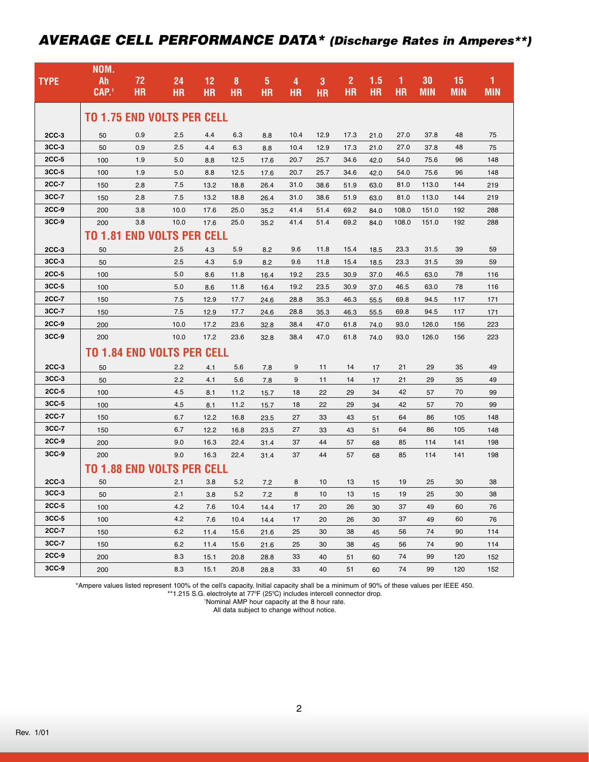### *AVERAGE CELL PERFORMANCE DATA\* (Discharge Rates in Amperes\*\*)*

|              | NOM.                              |           |      |             |           |           |           |           |                |           |           |            |            |            |
|--------------|-----------------------------------|-----------|------|-------------|-----------|-----------|-----------|-----------|----------------|-----------|-----------|------------|------------|------------|
| <b>TYPE</b>  | Ah                                | 72        | 24   | 12          | 8         | 5         | 4         | 3         | $\overline{2}$ | 1.5       | 1         | 30         | 15         | 1          |
|              | CAP.1                             | <b>HR</b> | HR   | <b>HR</b>   | <b>HR</b> | <b>HR</b> | <b>HR</b> | <b>HR</b> | <b>HR</b>      | <b>HR</b> | <b>HR</b> | <b>MIN</b> | <b>MIN</b> | <b>MIN</b> |
|              |                                   |           |      |             |           |           |           |           |                |           |           |            |            |            |
|              | <b>TO 1.75 END VOLTS PER CELL</b> |           |      |             |           |           |           |           |                |           |           |            |            |            |
| 2CC-3        | 50                                | 0.9       | 2.5  | 4.4         | 6.3       | 8.8       | 10.4      | 12.9      | 17.3           | 21.0      | 27.0      | 37.8       | 48         | 75         |
| $3CC-3$      | 50                                | 0.9       | 2.5  | 4.4         | 6.3       | 8.8       | 10.4      | 12.9      | 17.3           | 21.0      | 27.0      | 37.8       | 48         | 75         |
| 2CC-5        | 100                               | 1.9       | 5.0  | 8.8         | 12.5      | 17.6      | 20.7      | 25.7      | 34.6           | 42.0      | 54.0      | 75.6       | 96         | 148        |
| 3CC-5        | 100                               | 1.9       | 5.0  | 8.8         | 12.5      | 17.6      | 20.7      | 25.7      | 34.6           | 42.0      | 54.0      | 75.6       | 96         | 148        |
| 2CC-7        | 150                               | 2.8       | 7.5  | 13.2        | 18.8      | 26.4      | 31.0      | 38.6      | 51.9           | 63.0      | 81.0      | 113.0      | 144        | 219        |
| 3CC-7        | 150                               | 2.8       | 7.5  | 13.2        | 18.8      | 26.4      | 31.0      | 38.6      | 51.9           | 63.0      | 81.0      | 113.0      | 144        | 219        |
| 2CC-9        | 200                               | 3.8       | 10.0 | 17.6        | 25.0      | 35.2      | 41.4      | 51.4      | 69.2           | 84.0      | 108.0     | 151.0      | 192        | 288        |
| 3CC-9        | 200                               | 3.8       | 10.0 | 17.6        | 25.0      | 35.2      | 41.4      | 51.4      | 69.2           | 84.0      | 108.0     | 151.0      | 192        | 288        |
|              | <b>TO 1.81 END VOLTS PER CELL</b> |           |      |             |           |           |           |           |                |           |           |            |            |            |
| 2CC-3        | 50                                |           | 2.5  | 4.3         | 5.9       | 8.2       | 9.6       | 11.8      | 15.4           | 18.5      | 23.3      | 31.5       | 39         | 59         |
| $3CC-3$      | 50                                |           | 2.5  | 4.3         | 5.9       | 8.2       | 9.6       | 11.8      | 15.4           | 18.5      | 23.3      | 31.5       | 39         | 59         |
| $2CC-5$      | 100                               |           | 5.0  | 8.6         | 11.8      | 16.4      | 19.2      | 23.5      | 30.9           | 37.0      | 46.5      | 63.0       | 78         | 116        |
| $3CC-5$      | 100                               |           | 5.0  | 8.6         | 11.8      | 16.4      | 19.2      | 23.5      | 30.9           | 37.0      | 46.5      | 63.0       | 78         | 116        |
| 2CC-7        | 150                               |           | 7.5  | 12.9        | 17.7      | 24.6      | 28.8      | 35.3      | 46.3           | 55.5      | 69.8      | 94.5       | 117        | 171        |
| 3CC-7        | 150                               |           | 7.5  | 12.9        | 17.7      | 24.6      | 28.8      | 35.3      | 46.3           | 55.5      | 69.8      | 94.5       | 117        | 171        |
| 2CC-9        | 200                               |           | 10.0 | 17.2        | 23.6      | 32.8      | 38.4      | 47.0      | 61.8           | 74.0      | 93.0      | 126.0      | 156        | 223        |
| 3CC-9        | 200                               |           | 10.0 | 17.2        | 23.6      | 32.8      | 38.4      | 47.0      | 61.8           | 74.0      | 93.0      | 126.0      | 156        | 223        |
|              | <b>TO 1.84 END VOLTS PER CELL</b> |           |      |             |           |           |           |           |                |           |           |            |            |            |
| $2CC-3$      | 50                                |           | 2.2  | 4.1         | 5.6       | 7.8       | 9         | 11        | 14             | 17        | 21        | 29         | 35         | 49         |
| $3CC-3$      | 50                                |           | 2.2  | 4.1         | 5.6       | 7.8       | 9         | 11        | 14             | 17        | 21        | 29         | 35         | 49         |
| 2CC-5        | 100                               |           | 4.5  | 8.1         | 11.2      | 15.7      | 18        | 22        | 29             | 34        | 42        | 57         | 70         | 99         |
| $3CC-5$      | 100                               |           | 4.5  | 8.1         | 11.2      | 15.7      | 18        | 22        | 29             | 34        | 42        | 57         | 70         | 99         |
| 2CC-7        | 150                               |           | 6.7  | 12.2        | 16.8      | 23.5      | 27        | 33        | 43             | 51        | 64        | 86         | 105        | 148        |
| 3CC-7        | 150                               |           | 6.7  | 12.2        | 16.8      | 23.5      | 27        | 33        | 43             | 51        | 64        | 86         | 105        | 148        |
| $2CC-9$      | 200                               |           | 9.0  | 16.3        | 22.4      | 31.4      | 37        | 44        | 57             | 68        | 85        | 114        | 141        | 198        |
| $3CC-9$      | 200                               |           | 9.0  | 16.3        | 22.4      | 31.4      | 37        | 44        | 57             | 68        | 85        | 114        | 141        | 198        |
|              | <b>TO 1.88 END VOLTS PER</b>      |           |      | <b>CELL</b> |           |           |           |           |                |           |           |            |            |            |
| $2CC-3$      | 50                                |           | 2.1  | 3.8         | 5.2       | 7.2       | 8         | 10        | 13             | 15        | 19        | 25         | 30         | 38         |
| $3CC-3$      | 50                                |           | 2.1  | 3.8         | 5.2       | 7.2       | 8         | 10        | 13             | 15        | 19        | 25         | 30         | 38         |
| $2CC-5$      | 100                               |           | 4.2  | 7.6         | 10.4      | 14.4      | 17        | 20        | 26             | 30        | 37        | 49         | 60         | 76         |
| 3CC-5        | 100                               |           | 4.2  | 7.6         | 10.4      | 14.4      | 17        | 20        | 26             | 30        | 37        | 49         | 60         | 76         |
| <b>2CC-7</b> | 150                               |           | 6.2  | 11.4        | 15.6      | 21.6      | 25        | 30        | 38             | 45        | 56        | 74         | 90         | 114        |
| 3CC-7        | 150                               |           | 6.2  | 11.4        | 15.6      | 21.6      | 25        | 30        | 38             | 45        | 56        | 74         | 90         | 114        |
| 2CC-9        | 200                               |           | 8.3  | 15.1        | 20.8      | 28.8      | 33        | 40        | 51             | 60        | 74        | 99         | 120        | 152        |
| $3CC-9$      | 200                               |           | 8.3  | 15.1        | 20.8      | 28.8      | 33        | 40        | 51             | 60        | 74        | 99         | 120        | 152        |
|              |                                   |           |      |             |           |           |           |           |                |           |           |            |            |            |

\*Ampere values listed represent 100% of the cell's capacity. Initial capacity shall be a minimum of 90% of these values per IEEE 450.

\*\*1.215 S.G. electrolyte at 77°F (25°C) includes intercell connector drop.

1 Nominal AMP hour capacity at the 8 hour rate.

All data subject to change without notice.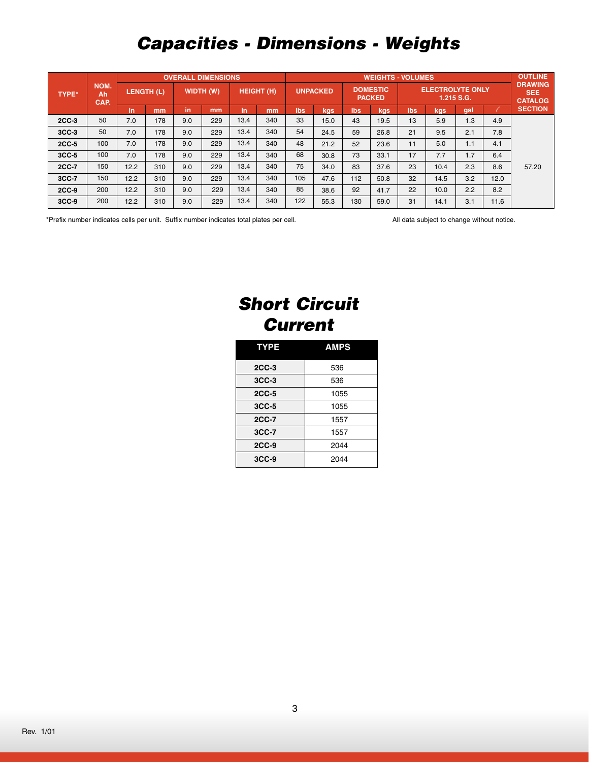# *Capacities - Dimensions - Weights*

|              | NOM.<br>Αh<br>CAP. | <b>OVERALL DIMENSIONS</b> |     |           |     |                   |     | <b>WEIGHTS - VOLUMES</b> |      |                                  |      |                                       |      |     | <b>OUTLINE</b>                                 |                |
|--------------|--------------------|---------------------------|-----|-----------|-----|-------------------|-----|--------------------------|------|----------------------------------|------|---------------------------------------|------|-----|------------------------------------------------|----------------|
| <b>TYPE*</b> |                    | LENGTH (L)                |     | WIDTH (W) |     | <b>HEIGHT (H)</b> |     | <b>UNPACKED</b>          |      | <b>DOMESTIC</b><br><b>PACKED</b> |      | <b>ELECTROLYTE ONLY</b><br>1.215 S.G. |      |     | <b>DRAWING</b><br><b>SEE</b><br><b>CATALOG</b> |                |
|              |                    | in                        | mm  | in.       | mm  | in                | mm  | lbs                      | kgs  | Ibs                              | kgs  | lbs                                   | kgs  | gal |                                                | <b>SECTION</b> |
| $2CC-3$      | 50                 | 7.0                       | 178 | 9.0       | 229 | 13.4              | 340 | 33                       | 15.0 | 43                               | 19.5 | 13                                    | 5.9  | 1.3 | 4.9                                            |                |
| $3CC-3$      | 50                 | 7.0                       | 178 | 9.0       | 229 | 13.4              | 340 | 54                       | 24.5 | 59                               | 26.8 | 21                                    | 9.5  | 2.1 | 7.8                                            |                |
| $2CC-5$      | 100                | 7.0                       | 178 | 9.0       | 229 | 13.4              | 340 | 48                       | 21.2 | 52                               | 23.6 | 11                                    | 5.0  | 1.1 | 4.1                                            |                |
| $3CC-5$      | 100                | 7.0                       | 178 | 9.0       | 229 | 13.4              | 340 | 68                       | 30.8 | 73                               | 33.1 | 17                                    | 7.7  | 1.7 | 6.4                                            |                |
| 2CC-7        | 150                | 12.2                      | 310 | 9.0       | 229 | 13.4              | 340 | 75                       | 34.0 | 83                               | 37.6 | 23                                    | 10.4 | 2.3 | 8.6                                            | 57.20          |
| 3CC-7        | 150                | 12.2                      | 310 | 9.0       | 229 | 13.4              | 340 | 105                      | 47.6 | 112                              | 50.8 | 32                                    | 14.5 | 3.2 | 12.0                                           |                |
| 2CC-9        | 200                | 12.2                      | 310 | 9.0       | 229 | 13.4              | 340 | 85                       | 38.6 | 92                               | 41.7 | 22                                    | 10.0 | 2.2 | 8.2                                            |                |
| $3CC-9$      | 200                | 12.2                      | 310 | 9.0       | 229 | 13.4              | 340 | 122                      | 55.3 | 130                              | 59.0 | 31                                    | 14.1 | 3.1 | 11.6                                           |                |

\*Prefix number indicates cells per unit. Suffix number indicates total plates per cell. All data subject to change without notice.

# *Short Circuit Current*

| <b>TYPE</b>  | <b>AMPS</b> |
|--------------|-------------|
| $2CC-3$      | 536         |
| $3CC-3$      | 536         |
| <b>2CC-5</b> | 1055        |
| 3CC-5        | 1055        |
| <b>2CC-7</b> | 1557        |
| 3CC-7        | 1557        |
| $2CC-9$      | 2044        |
| $3CC-9$      | 2044        |